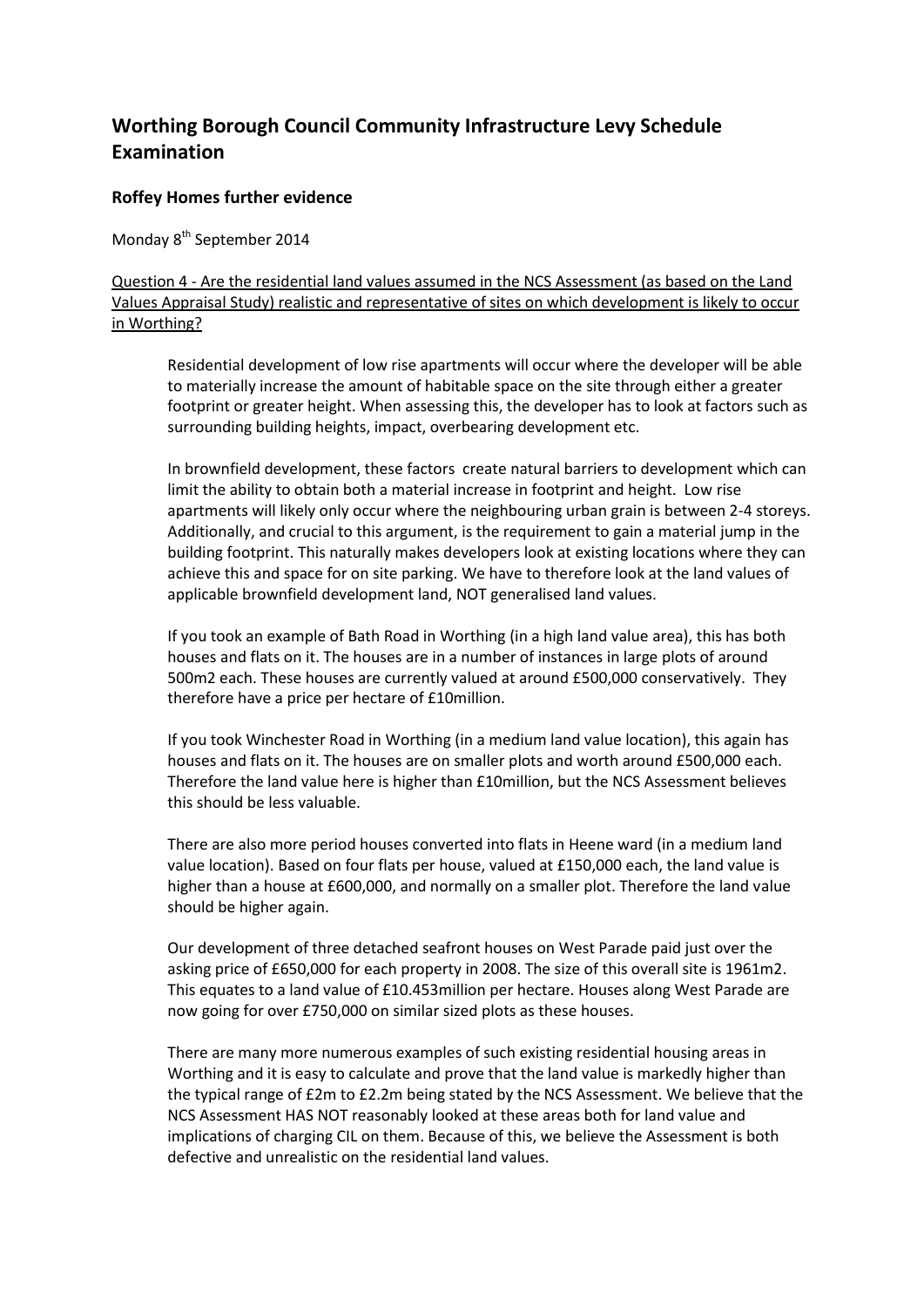# **Worthing Borough Council Community Infrastructure Levy Schedule Examination**

# **Roffey Homes further evidence**

Monday 8<sup>th</sup> September 2014

Question 4 - Are the residential land values assumed in the NCS Assessment (as based on the Land Values Appraisal Study) realistic and representative of sites on which development is likely to occur in Worthing?

Residential development of low rise apartments will occur where the developer will be able to materially increase the amount of habitable space on the site through either a greater footprint or greater height. When assessing this, the developer has to look at factors such as surrounding building heights, impact, overbearing development etc.

In brownfield development, these factors create natural barriers to development which can limit the ability to obtain both a material increase in footprint and height. Low rise apartments will likely only occur where the neighbouring urban grain is between 2-4 storeys. Additionally, and crucial to this argument, is the requirement to gain a material jump in the building footprint. This naturally makes developers look at existing locations where they can achieve this and space for on site parking. We have to therefore look at the land values of applicable brownfield development land, NOT generalised land values.

If you took an example of Bath Road in Worthing (in a high land value area), this has both houses and flats on it. The houses are in a number of instances in large plots of around 500m2 each. These houses are currently valued at around £500,000 conservatively. They therefore have a price per hectare of £10million.

If you took Winchester Road in Worthing (in a medium land value location), this again has houses and flats on it. The houses are on smaller plots and worth around £500,000 each. Therefore the land value here is higher than £10million, but the NCS Assessment believes this should be less valuable.

There are also more period houses converted into flats in Heene ward (in a medium land value location). Based on four flats per house, valued at £150,000 each, the land value is higher than a house at £600,000, and normally on a smaller plot. Therefore the land value should be higher again.

Our development of three detached seafront houses on West Parade paid just over the asking price of £650,000 for each property in 2008. The size of this overall site is 1961m2. This equates to a land value of £10.453million per hectare. Houses along West Parade are now going for over £750,000 on similar sized plots as these houses.

There are many more numerous examples of such existing residential housing areas in Worthing and it is easy to calculate and prove that the land value is markedly higher than the typical range of £2m to £2.2m being stated by the NCS Assessment. We believe that the NCS Assessment HAS NOT reasonably looked at these areas both for land value and implications of charging CIL on them. Because of this, we believe the Assessment is both defective and unrealistic on the residential land values.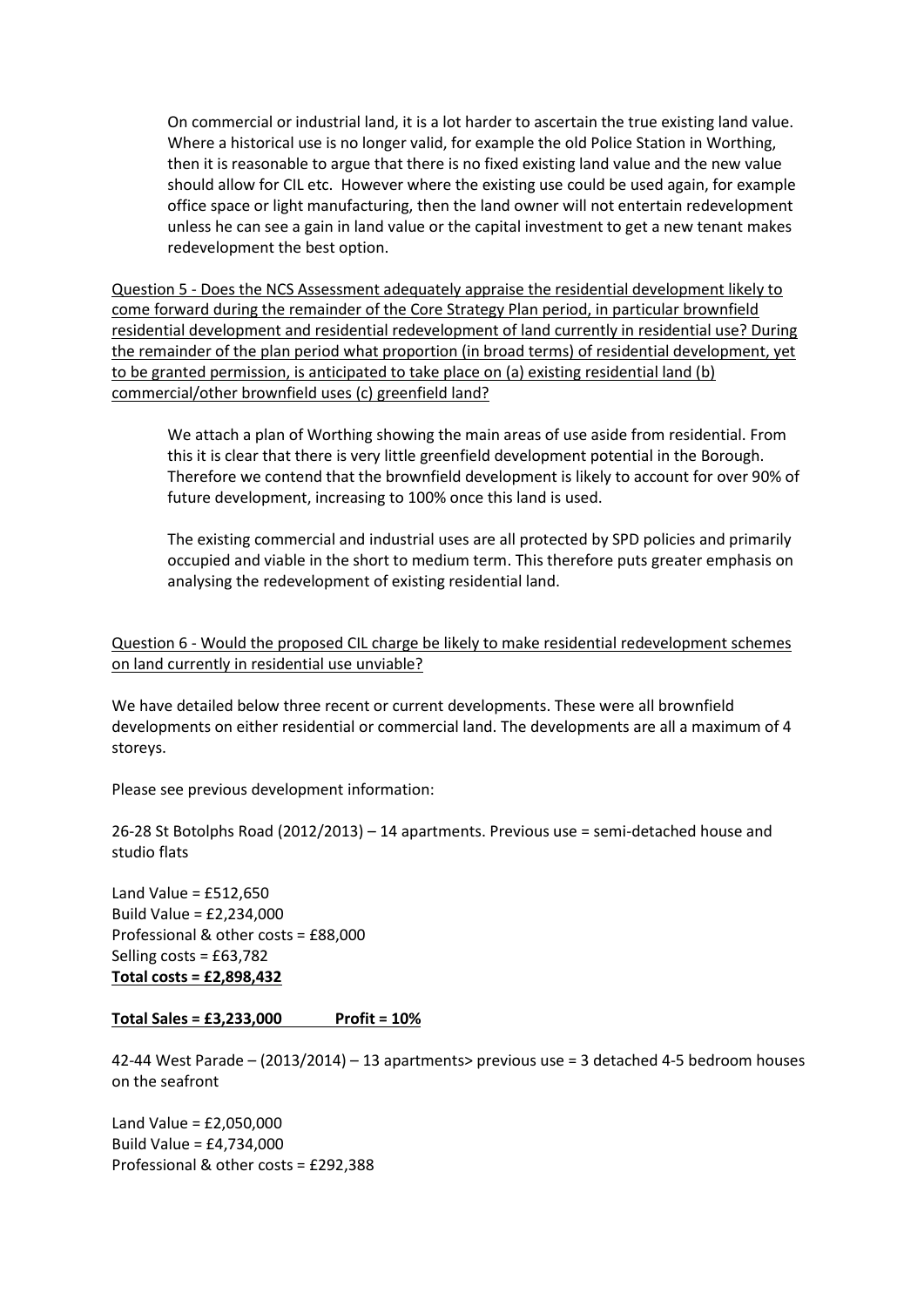On commercial or industrial land, it is a lot harder to ascertain the true existing land value. Where a historical use is no longer valid, for example the old Police Station in Worthing, then it is reasonable to argue that there is no fixed existing land value and the new value should allow for CIL etc. However where the existing use could be used again, for example office space or light manufacturing, then the land owner will not entertain redevelopment unless he can see a gain in land value or the capital investment to get a new tenant makes redevelopment the best option.

Question 5 - Does the NCS Assessment adequately appraise the residential development likely to come forward during the remainder of the Core Strategy Plan period, in particular brownfield residential development and residential redevelopment of land currently in residential use? During the remainder of the plan period what proportion (in broad terms) of residential development, yet to be granted permission, is anticipated to take place on (a) existing residential land (b) commercial/other brownfield uses (c) greenfield land?

We attach a plan of Worthing showing the main areas of use aside from residential. From this it is clear that there is very little greenfield development potential in the Borough. Therefore we contend that the brownfield development is likely to account for over 90% of future development, increasing to 100% once this land is used.

The existing commercial and industrial uses are all protected by SPD policies and primarily occupied and viable in the short to medium term. This therefore puts greater emphasis on analysing the redevelopment of existing residential land.

Question 6 - Would the proposed CIL charge be likely to make residential redevelopment schemes on land currently in residential use unviable?

We have detailed below three recent or current developments. These were all brownfield developments on either residential or commercial land. The developments are all a maximum of 4 storeys.

Please see previous development information:

26-28 St Botolphs Road (2012/2013) – 14 apartments. Previous use = semi-detached house and studio flats

Land Value =  $£512,650$ Build Value = £2,234,000 Professional & other costs = £88,000 Selling costs = £63,782 **Total costs = £2,898,432**

## **Total Sales = £3,233,000 Profit = 10%**

42-44 West Parade – (2013/2014) – 13 apartments> previous use = 3 detached 4-5 bedroom houses on the seafront

Land Value = £2,050,000 Build Value = £4,734,000 Professional & other costs = £292,388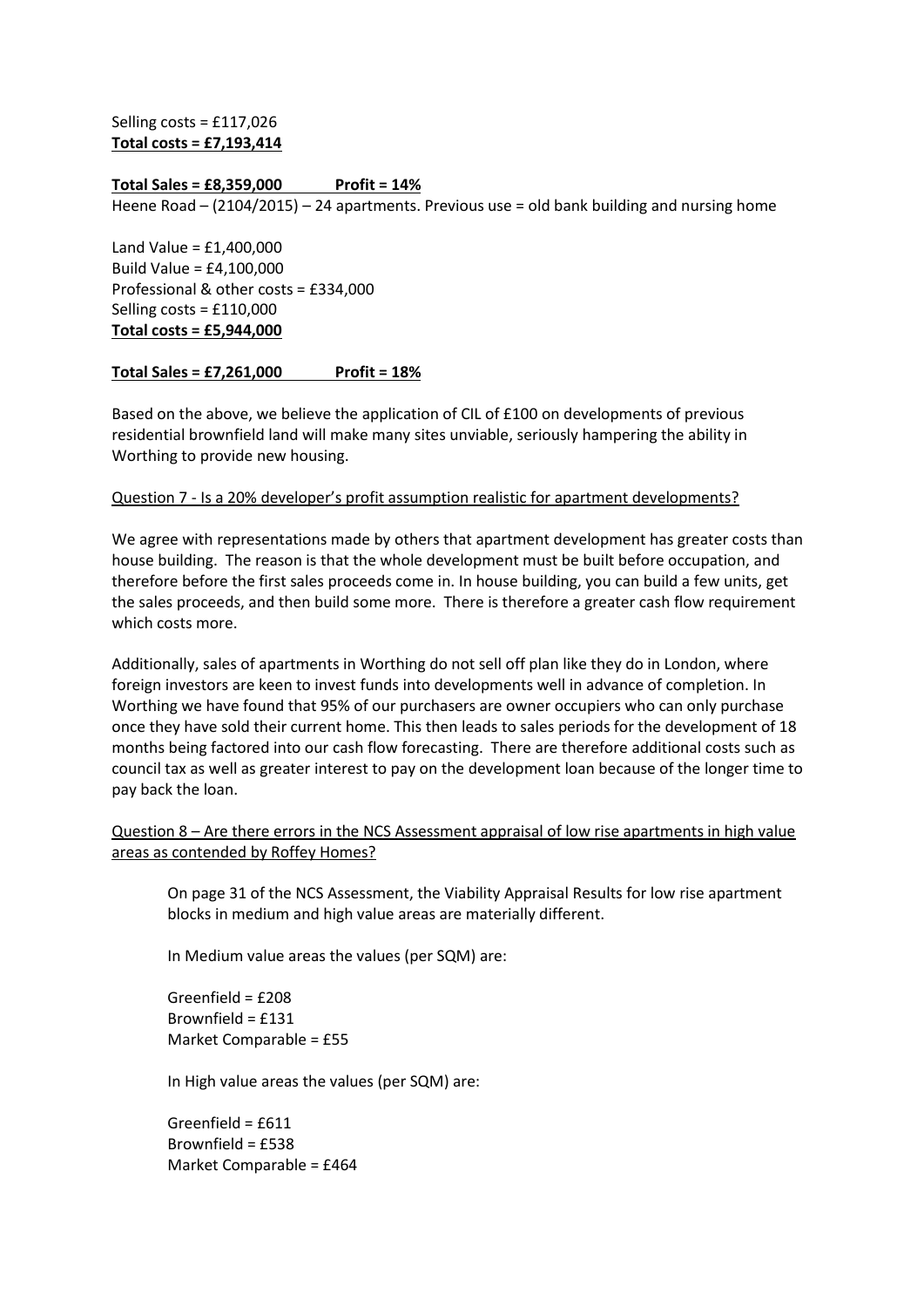Selling costs = £117,026 **Total costs = £7,193,414**

#### **Total Sales = £8,359,000 Profit = 14%**

Heene Road – (2104/2015) – 24 apartments. Previous use = old bank building and nursing home

Land Value = £1,400,000 Build Value = £4,100,000 Professional & other costs = £334,000 Selling costs = £110,000 **Total costs = £5,944,000**

#### **Total Sales = £7,261,000 Profit = 18%**

Based on the above, we believe the application of CIL of £100 on developments of previous residential brownfield land will make many sites unviable, seriously hampering the ability in Worthing to provide new housing.

#### Question 7 - Is a 20% developer's profit assumption realistic for apartment developments?

We agree with representations made by others that apartment development has greater costs than house building. The reason is that the whole development must be built before occupation, and therefore before the first sales proceeds come in. In house building, you can build a few units, get the sales proceeds, and then build some more. There is therefore a greater cash flow requirement which costs more.

Additionally, sales of apartments in Worthing do not sell off plan like they do in London, where foreign investors are keen to invest funds into developments well in advance of completion. In Worthing we have found that 95% of our purchasers are owner occupiers who can only purchase once they have sold their current home. This then leads to sales periods for the development of 18 months being factored into our cash flow forecasting. There are therefore additional costs such as council tax as well as greater interest to pay on the development loan because of the longer time to pay back the loan.

## Question 8 – Are there errors in the NCS Assessment appraisal of low rise apartments in high value areas as contended by Roffey Homes?

On page 31 of the NCS Assessment, the Viability Appraisal Results for low rise apartment blocks in medium and high value areas are materially different.

In Medium value areas the values (per SQM) are:

Greenfield = £208 Brownfield = £131 Market Comparable = £55

In High value areas the values (per SQM) are:

Greenfield = £611 Brownfield = £538 Market Comparable = £464